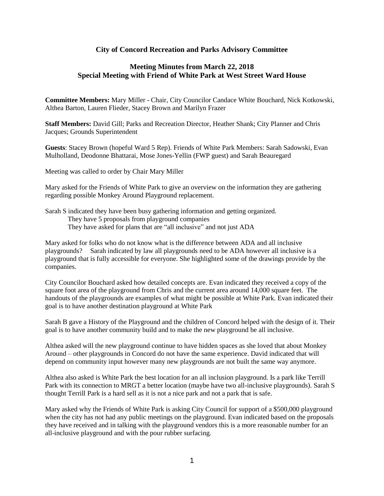## **City of Concord Recreation and Parks Advisory Committee**

## **Meeting Minutes from March 22, 2018 Special Meeting with Friend of White Park at West Street Ward House**

**Committee Members:** Mary Miller - Chair, City Councilor Candace White Bouchard, Nick Kotkowski, Althea Barton, Lauren Flieder, Stacey Brown and Marilyn Frazer

**Staff Members:** David Gill; Parks and Recreation Director, Heather Shank; City Planner and Chris Jacques; Grounds Superintendent

**Guests**: Stacey Brown (hopeful Ward 5 Rep). Friends of White Park Members: Sarah Sadowski, Evan Mulholland, Deodonne Bhattarai, Mose Jones-Yellin (FWP guest) and Sarah Beauregard

Meeting was called to order by Chair Mary Miller

Mary asked for the Friends of White Park to give an overview on the information they are gathering regarding possible Monkey Around Playground replacement.

Sarah S indicated they have been busy gathering information and getting organized.

They have 5 proposals from playground companies

They have asked for plans that are "all inclusive" and not just ADA

Mary asked for folks who do not know what is the difference between ADA and all inclusive playgrounds? Sarah indicated by law all playgrounds need to be ADA however all inclusive is a playground that is fully accessible for everyone. She highlighted some of the drawings provide by the companies.

City Councilor Bouchard asked how detailed concepts are. Evan indicated they received a copy of the square foot area of the playground from Chris and the current area around 14,000 square feet. The handouts of the playgrounds are examples of what might be possible at White Park. Evan indicated their goal is to have another destination playground at White Park

Sarah B gave a History of the Playground and the children of Concord helped with the design of it. Their goal is to have another community build and to make the new playground be all inclusive.

Althea asked will the new playground continue to have hidden spaces as she loved that about Monkey Around – other playgrounds in Concord do not have the same experience. David indicated that will depend on community input however many new playgrounds are not built the same way anymore.

Althea also asked is White Park the best location for an all inclusion playground. Is a park like Terrill Park with its connection to MRGT a better location (maybe have two all-inclusive playgrounds). Sarah S thought Terrill Park is a hard sell as it is not a nice park and not a park that is safe.

Mary asked why the Friends of White Park is asking City Council for support of a \$500,000 playground when the city has not had any public meetings on the playground. Evan indicated based on the proposals they have received and in talking with the playground vendors this is a more reasonable number for an all-inclusive playground and with the pour rubber surfacing.